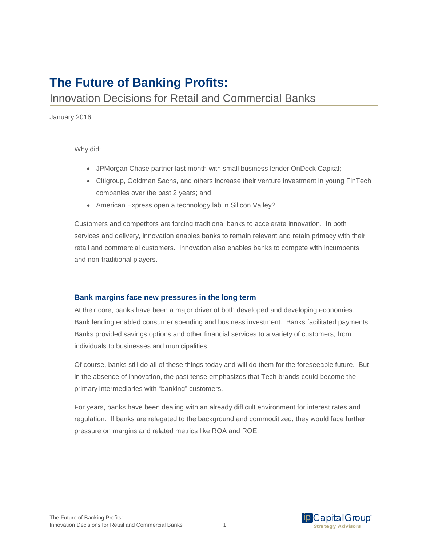# **The Future of Banking Profits:**

## Innovation Decisions for Retail and Commercial Banks

January 2016

Why did:

- JPMorgan Chase partner last month with small business lender OnDeck Capital;
- Citigroup, Goldman Sachs, and others increase their venture investment in young FinTech companies over the past 2 years; and
- American Express open a technology lab in Silicon Valley?

Customers and competitors are forcing traditional banks to accelerate innovation. In both services and delivery, innovation enables banks to remain relevant and retain primacy with their retail and commercial customers. Innovation also enables banks to compete with incumbents and non-traditional players.

### **Bank margins face new pressures in the long term**

At their core, banks have been a major driver of both developed and developing economies. Bank lending enabled consumer spending and business investment. Banks facilitated payments. Banks provided savings options and other financial services to a variety of customers, from individuals to businesses and municipalities.

Of course, banks still do all of these things today and will do them for the foreseeable future. But in the absence of innovation, the past tense emphasizes that Tech brands could become the primary intermediaries with "banking" customers.

For years, banks have been dealing with an already difficult environment for interest rates and regulation. If banks are relegated to the background and commoditized, they would face further pressure on margins and related metrics like ROA and ROE.



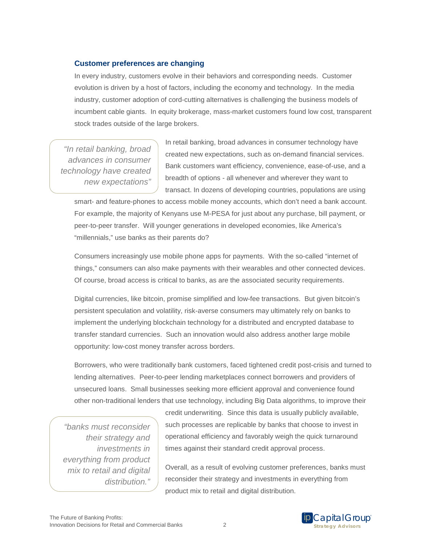### **Customer preferences are changing**

In every industry, customers evolve in their behaviors and corresponding needs. Customer evolution is driven by a host of factors, including the economy and technology. In the media industry, customer adoption of cord-cutting alternatives is challenging the business models of incumbent cable giants. In equity brokerage, mass-market customers found low cost, transparent stock trades outside of the large brokers.

*"In retail banking, broad advances in consumer technology have created new expectations"*

In retail banking, broad advances in consumer technology have created new expectations, such as on-demand financial services. Bank customers want efficiency, convenience, ease-of-use, and a breadth of options - all whenever and wherever they want to transact. In dozens of developing countries, populations are using

smart- and feature-phones to access mobile money accounts, which don't need a bank account. For example, the majority of Kenyans use M-PESA for just about any purchase, bill payment, or peer-to-peer transfer. Will younger generations in developed economies, like America's "millennials," use banks as their parents do?

Consumers increasingly use mobile phone apps for payments. With the so-called "internet of things," consumers can also make payments with their wearables and other connected devices. Of course, broad access is critical to banks, as are the associated security requirements.

Digital currencies, like bitcoin, promise simplified and low-fee transactions. But given bitcoin's persistent speculation and volatility, risk-averse consumers may ultimately rely on banks to implement the underlying blockchain technology for a distributed and encrypted database to transfer standard currencies. Such an innovation would also address another large mobile opportunity: low-cost money transfer across borders.

Borrowers, who were traditionally bank customers, faced tightened credit post-crisis and turned to lending alternatives. Peer-to-peer lending marketplaces connect borrowers and providers of unsecured loans. Small businesses seeking more efficient approval and convenience found other non-traditional lenders that use technology, including Big Data algorithms, to improve their

*"banks must reconsider their strategy and investments in everything from product mix to retail and digital distribution."*

credit underwriting. Since this data is usually publicly available, such processes are replicable by banks that choose to invest in operational efficiency and favorably weigh the quick turnaround times against their standard credit approval process.

Overall, as a result of evolving customer preferences, banks must reconsider their strategy and investments in everything from product mix to retail and digital distribution.

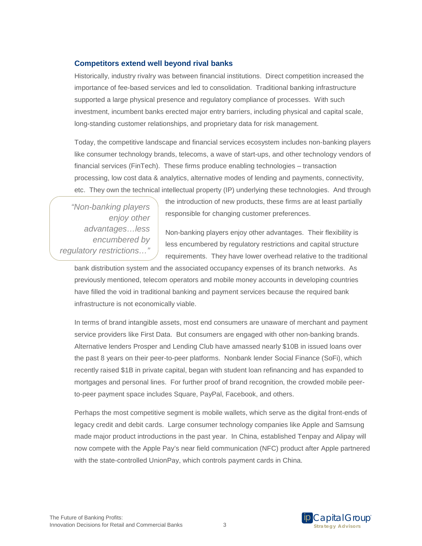#### **Competitors extend well beyond rival banks**

Historically, industry rivalry was between financial institutions. Direct competition increased the importance of fee-based services and led to consolidation. Traditional banking infrastructure supported a large physical presence and regulatory compliance of processes. With such investment, incumbent banks erected major entry barriers, including physical and capital scale, long-standing customer relationships, and proprietary data for risk management.

Today, the competitive landscape and financial services ecosystem includes non-banking players like consumer technology brands, telecoms, a wave of start-ups, and other technology vendors of financial services (FinTech). These firms produce enabling technologies – transaction processing, low cost data & analytics, alternative modes of lending and payments, connectivity, etc. They own the technical intellectual property (IP) underlying these technologies. And through

*"Non-banking players enjoy other advantages…less encumbered by regulatory restrictions…"*

the introduction of new products, these firms are at least partially responsible for changing customer preferences.

Non-banking players enjoy other advantages. Their flexibility is less encumbered by regulatory restrictions and capital structure requirements. They have lower overhead relative to the traditional

bank distribution system and the associated occupancy expenses of its branch networks. As previously mentioned, telecom operators and mobile money accounts in developing countries have filled the void in traditional banking and payment services because the required bank infrastructure is not economically viable.

In terms of brand intangible assets, most end consumers are unaware of merchant and payment service providers like First Data. But consumers are engaged with other non-banking brands. Alternative lenders Prosper and Lending Club have amassed nearly \$10B in issued loans over the past 8 years on their peer-to-peer platforms. Nonbank lender Social Finance (SoFi), which recently raised \$1B in private capital, began with student loan refinancing and has expanded to mortgages and personal lines. For further proof of brand recognition, the crowded mobile peerto-peer payment space includes Square, PayPal, Facebook, and others.

Perhaps the most competitive segment is mobile wallets, which serve as the digital front-ends of legacy credit and debit cards. Large consumer technology companies like Apple and Samsung made major product introductions in the past year. In China, established Tenpay and Alipay will now compete with the Apple Pay's near field communication (NFC) product after Apple partnered with the state-controlled UnionPay, which controls payment cards in China.

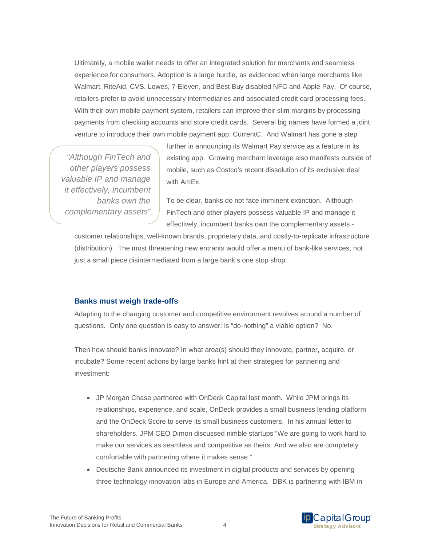Ultimately, a mobile wallet needs to offer an integrated solution for merchants and seamless experience for consumers. Adoption is a large hurdle, as evidenced when large merchants like Walmart, RiteAid, CVS, Lowes, 7-Eleven, and Best Buy disabled NFC and Apple Pay. Of course, retailers prefer to avoid unnecessary intermediaries and associated credit card processing fees. With their own mobile payment system, retailers can improve their slim margins by processing payments from checking accounts and store credit cards. Several big names have formed a joint venture to introduce their own mobile payment app: CurrentC. And Walmart has gone a step

*"Although FinTech and other players possess valuable IP and manage it effectively, incumbent banks own the complementary assets"*

further in announcing its Walmart Pay service as a feature in its existing app. Growing merchant leverage also manifests outside of mobile, such as Costco's recent dissolution of its exclusive deal with AmEx.

To be clear, banks do not face imminent extinction. Although FinTech and other players possess valuable IP and manage it effectively, incumbent banks own the complementary assets -

customer relationships, well-known brands, proprietary data, and costly-to-replicate infrastructure (distribution). The most threatening new entrants would offer a menu of bank-like services, not just a small piece disintermediated from a large bank's one stop shop.

#### **Banks must weigh trade-offs**

Adapting to the changing customer and competitive environment revolves around a number of questions. Only one question is easy to answer: is "do-nothing" a viable option? No.

Then how should banks innovate? In what area(s) should they innovate, partner, acquire, or incubate? Some recent actions by large banks hint at their strategies for partnering and investment:

- JP Morgan Chase partnered with OnDeck Capital last month. While JPM brings its relationships, experience, and scale, OnDeck provides a small business lending platform and the OnDeck Score to serve its small business customers. In his annual letter to shareholders, JPM CEO Dimon discussed nimble startups "We are going to work hard to make our services as seamless and competitive as theirs. And we also are completely comfortable with partnering where it makes sense."
- Deutsche Bank announced its investment in digital products and services by opening three technology innovation labs in Europe and America. DBK is partnering with IBM in